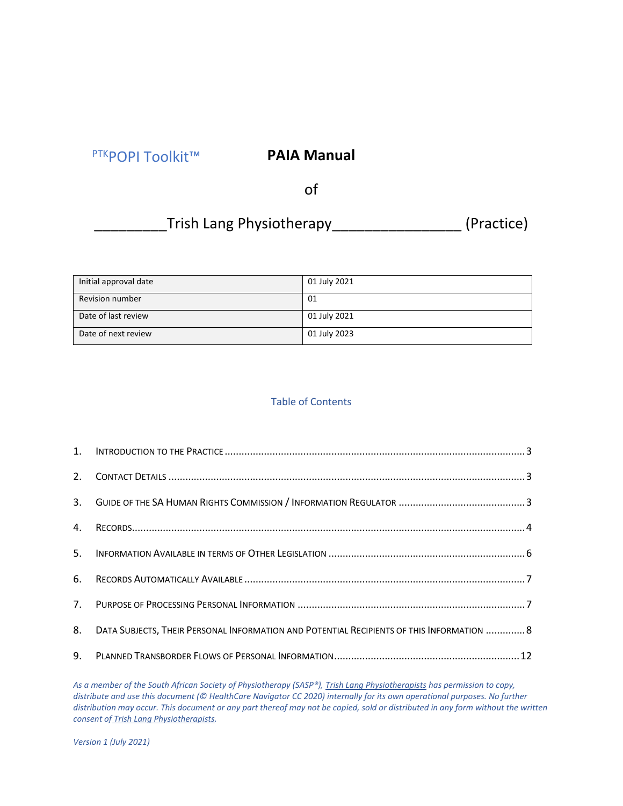# PTKPOPI Toolkit™

# **PAIA Manual**

of

# \_Trish Lang Physiotherapy\_\_\_\_\_\_\_\_\_\_\_\_\_\_\_\_\_\_\_\_ (Practice)

| Initial approval date  | 01 July 2021 |
|------------------------|--------------|
| <b>Revision number</b> | 01           |
| Date of last review    | 01 July 2021 |
| Date of next review    | 01 July 2023 |

# Table of Contents

| 8. | DATA SUBJECTS, THEIR PERSONAL INFORMATION AND POTENTIAL RECIPIENTS OF THIS INFORMATION  8 |  |
|----|-------------------------------------------------------------------------------------------|--|
|    |                                                                                           |  |

*As a member of the South African Society of Physiotherapy (SASP®), Trish Lang Physiotherapists has permission to copy, distribute and use this document (© HealthCare Navigator CC 2020) internally for its own operational purposes. No further distribution may occur. This document or any part thereof may not be copied, sold or distributed in any form without the written consent of Trish Lang Physiotherapists.*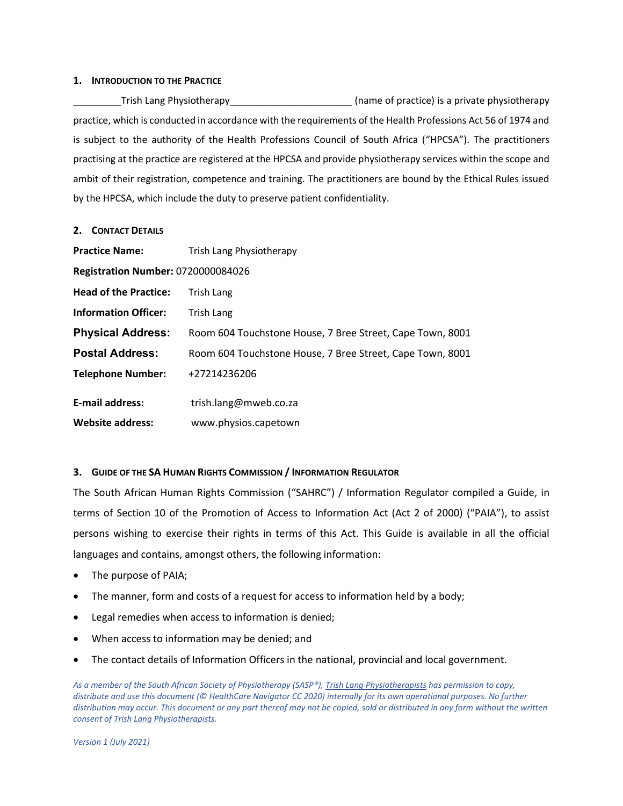#### <span id="page-2-0"></span>**1. INTRODUCTION TO THE PRACTICE**

Trish Lang Physiotherapy Trish Lang Physiotherapy and the state of practice) is a private physiotherapy practice, which is conducted in accordance with the requirements of the Health Professions Act 56 of 1974 and is subject to the authority of the Health Professions Council of South Africa ("HPCSA"). The practitioners practising at the practice are registered at the HPCSA and provide physiotherapy services within the scope and ambit of their registration, competence and training. The practitioners are bound by the Ethical Rules issued by the HPCSA, which include the duty to preserve patient confidentiality.

#### <span id="page-2-1"></span>**2. CONTACT DETAILS**

| <b>Practice Name:</b>                     | Trish Lang Physiotherapy                                  |  |  |
|-------------------------------------------|-----------------------------------------------------------|--|--|
| <b>Registration Number: 0720000084026</b> |                                                           |  |  |
| <b>Head of the Practice:</b>              | Trish Lang                                                |  |  |
| <b>Information Officer:</b>               | Trish Lang                                                |  |  |
| <b>Physical Address:</b>                  | Room 604 Touchstone House, 7 Bree Street, Cape Town, 8001 |  |  |
| <b>Postal Address:</b>                    | Room 604 Touchstone House, 7 Bree Street, Cape Town, 8001 |  |  |
| <b>Telephone Number:</b>                  | +27214236206                                              |  |  |
| <b>E-mail address:</b>                    | trish.lang@mweb.co.za                                     |  |  |
| <b>Website address:</b>                   | www.physios.capetown                                      |  |  |

# <span id="page-2-2"></span>**3. GUIDE OF THE SA HUMAN RIGHTS COMMISSION / INFORMATION REGULATOR**

The South African Human Rights Commission ("SAHRC") / Information Regulator compiled a Guide, in terms of Section 10 of the Promotion of Access to Information Act (Act 2 of 2000) ("PAIA"), to assist persons wishing to exercise their rights in terms of this Act. This Guide is available in all the official languages and contains, amongst others, the following information:

- The purpose of PAIA;
- The manner, form and costs of a request for access to information held by a body;
- Legal remedies when access to information is denied;
- When access to information may be denied; and
- The contact details of Information Officers in the national, provincial and local government.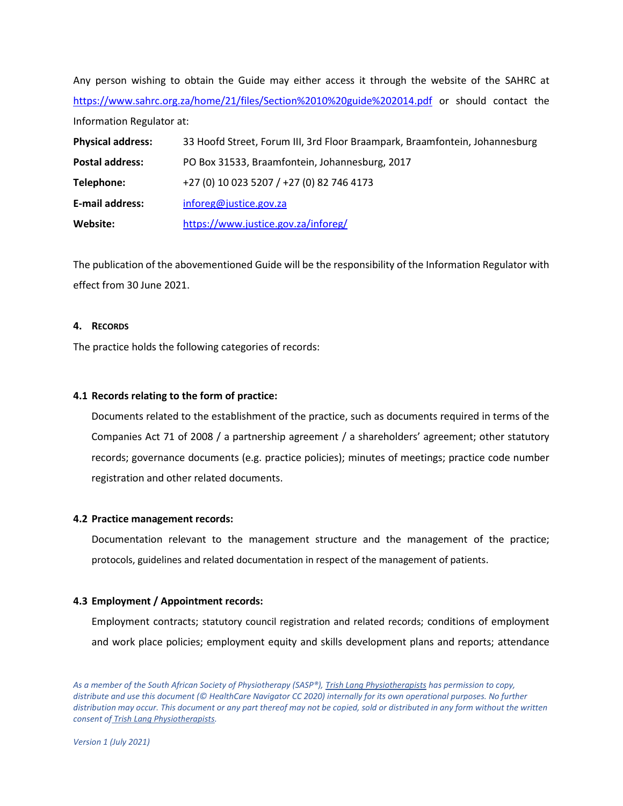Any person wishing to obtain the Guide may either access it through the website of the SAHRC at <https://www.sahrc.org.za/home/21/files/Section%2010%20guide%202014.pdf> or should contact the Information Regulator at: **Physical address:** 33 Hoofd Street, Forum III, 3rd Floor Braampark, Braamfontein, Johannesburg **Postal address:** PO Box 31533, Braamfontein, Johannesburg, 2017

**Telephone:** +27 (0) 10 023 5207 / +27 (0) 82 746 4173 **E-mail address:** [inforeg@justice.gov.za](mailto:inforeg@justice.gov.za)  **Website:** <https://www.justice.gov.za/inforeg/>

The publication of the abovementioned Guide will be the responsibility of the Information Regulator with effect from 30 June 2021.

# <span id="page-3-0"></span>**4. RECORDS**

The practice holds the following categories of records:

# **4.1 Records relating to the form of practice:**

Documents related to the establishment of the practice, such as documents required in terms of the Companies Act 71 of 2008 / a partnership agreement / a shareholders' agreement; other statutory records; governance documents (e.g. practice policies); minutes of meetings; practice code number registration and other related documents.

# **4.2 Practice management records:**

Documentation relevant to the management structure and the management of the practice; protocols, guidelines and related documentation in respect of the management of patients.

# **4.3 Employment / Appointment records:**

Employment contracts; statutory council registration and related records; conditions of employment and work place policies; employment equity and skills development plans and reports; attendance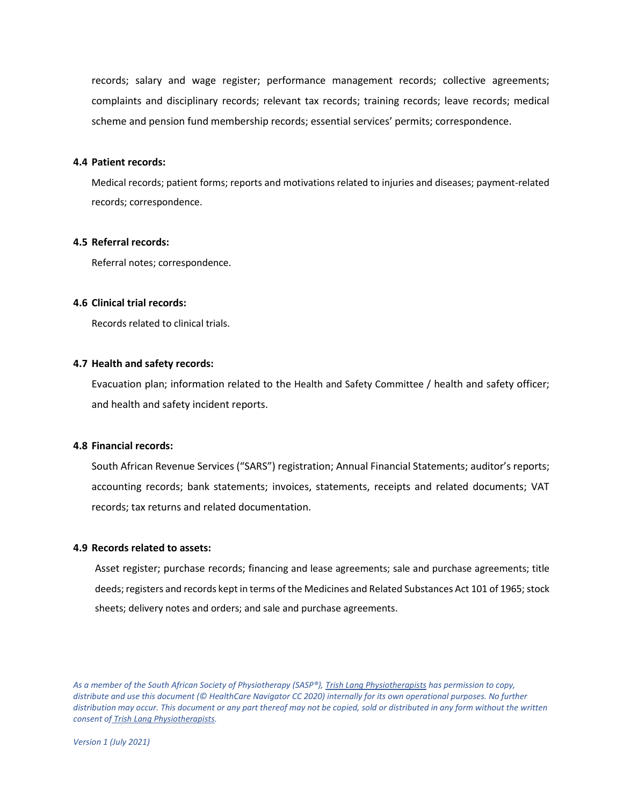records; salary and wage register; performance management records; collective agreements; complaints and disciplinary records; relevant tax records; training records; leave records; medical scheme and pension fund membership records; essential services' permits; correspondence.

# **4.4 Patient records:**

Medical records; patient forms; reports and motivations related to injuries and diseases; payment-related records; correspondence.

# **4.5 Referral records:**

Referral notes; correspondence.

#### **4.6 Clinical trial records:**

Records related to clinical trials.

#### **4.7 Health and safety records:**

Evacuation plan; information related to the Health and Safety Committee / health and safety officer; and health and safety incident reports.

#### **4.8 Financial records:**

South African Revenue Services ("SARS") registration; Annual Financial Statements; auditor's reports; accounting records; bank statements; invoices, statements, receipts and related documents; VAT records; tax returns and related documentation.

#### **4.9 Records related to assets:**

Asset register; purchase records; financing and lease agreements; sale and purchase agreements; title deeds; registers and records kept in terms of the Medicines and Related Substances Act 101 of 1965; stock sheets; delivery notes and orders; and sale and purchase agreements.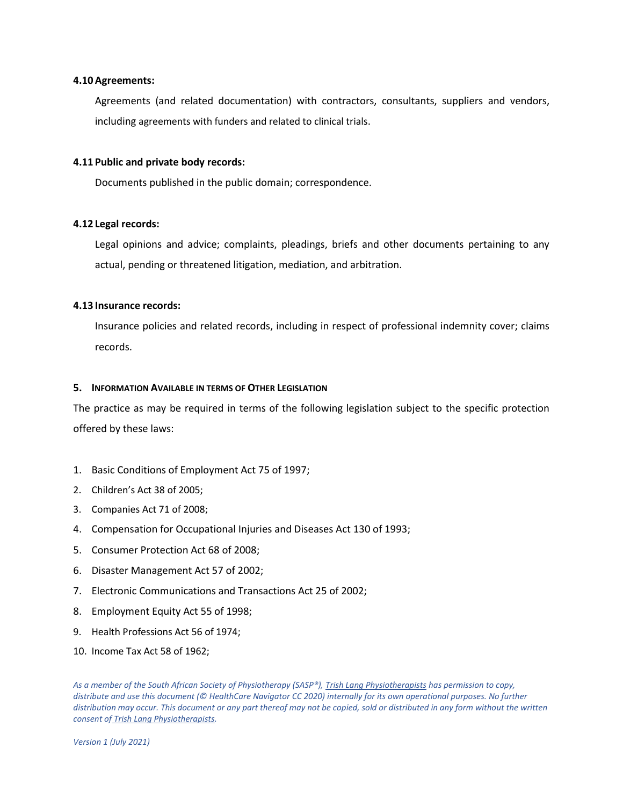### **4.10Agreements:**

Agreements (and related documentation) with contractors, consultants, suppliers and vendors, including agreements with funders and related to clinical trials.

# **4.11 Public and private body records:**

Documents published in the public domain; correspondence.

# **4.12 Legal records:**

Legal opinions and advice; complaints, pleadings, briefs and other documents pertaining to any actual, pending or threatened litigation, mediation, and arbitration.

#### **4.13 Insurance records:**

Insurance policies and related records, including in respect of professional indemnity cover; claims records.

#### <span id="page-5-0"></span>**5. INFORMATION AVAILABLE IN TERMS OF OTHER LEGISLATION**

The practice as may be required in terms of the following legislation subject to the specific protection offered by these laws:

- 1. Basic Conditions of Employment Act 75 of 1997;
- 2. Children's Act 38 of 2005;
- 3. Companies Act 71 of 2008;
- 4. Compensation for Occupational Injuries and Diseases Act 130 of 1993;
- 5. Consumer Protection Act 68 of 2008;
- 6. Disaster Management Act 57 of 2002;
- 7. Electronic Communications and Transactions Act 25 of 2002;
- 8. Employment Equity Act 55 of 1998;
- 9. Health Professions Act 56 of 1974;
- 10. Income Tax Act 58 of 1962;

*As a member of the South African Society of Physiotherapy (SASP®), Trish Lang Physiotherapists has permission to copy, distribute and use this document (© HealthCare Navigator CC 2020) internally for its own operational purposes. No further distribution may occur. This document or any part thereof may not be copied, sold or distributed in any form without the written consent of Trish Lang Physiotherapists.*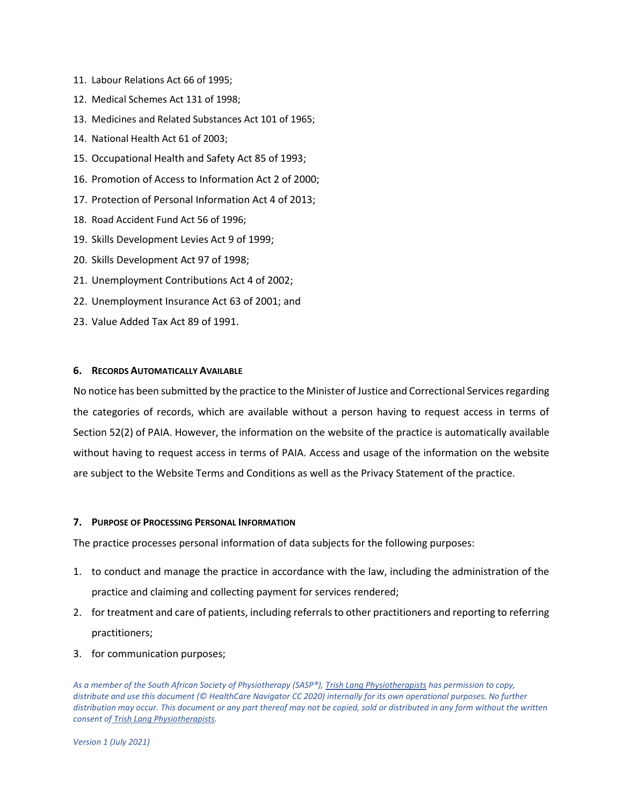- 11. Labour Relations Act 66 of 1995;
- 12. Medical Schemes Act 131 of 1998;
- 13. Medicines and Related Substances Act 101 of 1965;
- 14. National Health Act 61 of 2003;
- 15. Occupational Health and Safety Act 85 of 1993;
- 16. Promotion of Access to Information Act 2 of 2000;
- 17. Protection of Personal Information Act 4 of 2013;
- 18. Road Accident Fund Act 56 of 1996;
- 19. Skills Development Levies Act 9 of 1999;
- 20. Skills Development Act 97 of 1998;
- 21. Unemployment Contributions Act 4 of 2002;
- 22. Unemployment Insurance Act 63 of 2001; and
- 23. Value Added Tax Act 89 of 1991.

#### <span id="page-6-0"></span>**6. RECORDS AUTOMATICALLY AVAILABLE**

No notice has been submitted by the practice to the Minister of Justice and Correctional Services regarding the categories of records, which are available without a person having to request access in terms of Section 52(2) of PAIA. However, the information on the website of the practice is automatically available without having to request access in terms of PAIA. Access and usage of the information on the website are subject to the Website Terms and Conditions as well as the Privacy Statement of the practice.

#### <span id="page-6-1"></span>**7. PURPOSE OF PROCESSING PERSONAL INFORMATION**

The practice processes personal information of data subjects for the following purposes:

- 1. to conduct and manage the practice in accordance with the law, including the administration of the practice and claiming and collecting payment for services rendered;
- 2. for treatment and care of patients, including referrals to other practitioners and reporting to referring practitioners;
- 3. for communication purposes;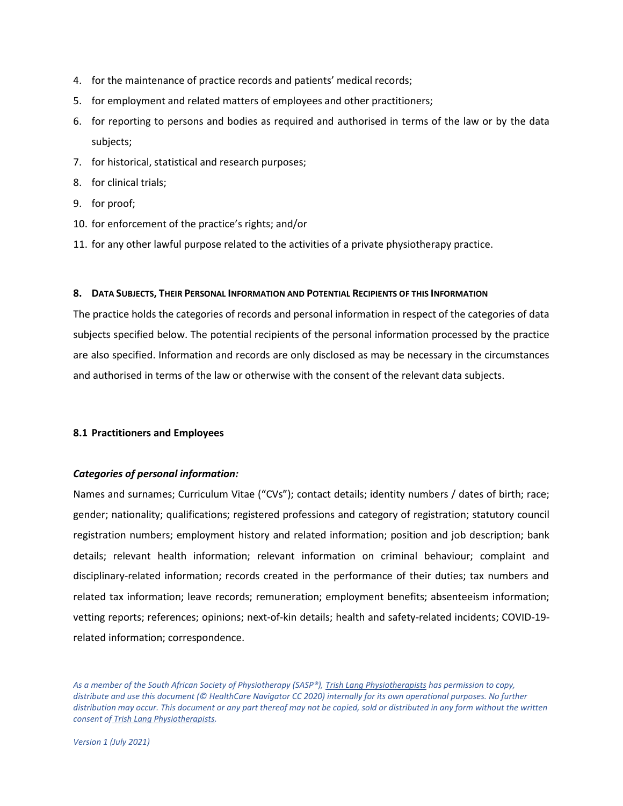- 4. for the maintenance of practice records and patients' medical records;
- 5. for employment and related matters of employees and other practitioners;
- 6. for reporting to persons and bodies as required and authorised in terms of the law or by the data subjects;
- 7. for historical, statistical and research purposes;
- 8. for clinical trials;
- 9. for proof;
- 10. for enforcement of the practice's rights; and/or
- 11. for any other lawful purpose related to the activities of a private physiotherapy practice.

# <span id="page-7-0"></span>**8. DATA SUBJECTS, THEIR PERSONAL INFORMATION AND POTENTIAL RECIPIENTS OF THIS INFORMATION**

The practice holds the categories of records and personal information in respect of the categories of data subjects specified below. The potential recipients of the personal information processed by the practice are also specified. Information and records are only disclosed as may be necessary in the circumstances and authorised in terms of the law or otherwise with the consent of the relevant data subjects.

# **8.1 Practitioners and Employees**

# *Categories of personal information:*

Names and surnames; Curriculum Vitae ("CVs"); contact details; identity numbers / dates of birth; race; gender; nationality; qualifications; registered professions and category of registration; statutory council registration numbers; employment history and related information; position and job description; bank details; relevant health information; relevant information on criminal behaviour; complaint and disciplinary-related information; records created in the performance of their duties; tax numbers and related tax information; leave records; remuneration; employment benefits; absenteeism information; vetting reports; references; opinions; next-of-kin details; health and safety-related incidents; COVID-19 related information; correspondence.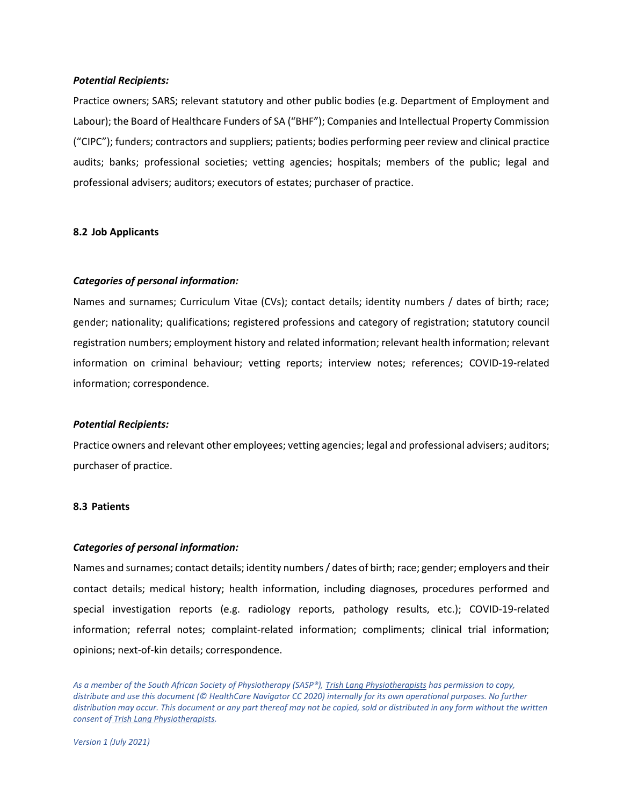#### *Potential Recipients:*

Practice owners; SARS; relevant statutory and other public bodies (e.g. Department of Employment and Labour); the Board of Healthcare Funders of SA ("BHF"); Companies and Intellectual Property Commission ("CIPC"); funders; contractors and suppliers; patients; bodies performing peer review and clinical practice audits; banks; professional societies; vetting agencies; hospitals; members of the public; legal and professional advisers; auditors; executors of estates; purchaser of practice.

# **8.2 Job Applicants**

#### *Categories of personal information:*

Names and surnames; Curriculum Vitae (CVs); contact details; identity numbers / dates of birth; race; gender; nationality; qualifications; registered professions and category of registration; statutory council registration numbers; employment history and related information; relevant health information; relevant information on criminal behaviour; vetting reports; interview notes; references; COVID-19-related information; correspondence.

#### *Potential Recipients:*

Practice owners and relevant other employees; vetting agencies; legal and professional advisers; auditors; purchaser of practice.

#### **8.3 Patients**

#### *Categories of personal information:*

Names and surnames; contact details; identity numbers / dates of birth; race; gender; employers and their contact details; medical history; health information, including diagnoses, procedures performed and special investigation reports (e.g. radiology reports, pathology results, etc.); COVID-19-related information; referral notes; complaint-related information; compliments; clinical trial information; opinions; next-of-kin details; correspondence.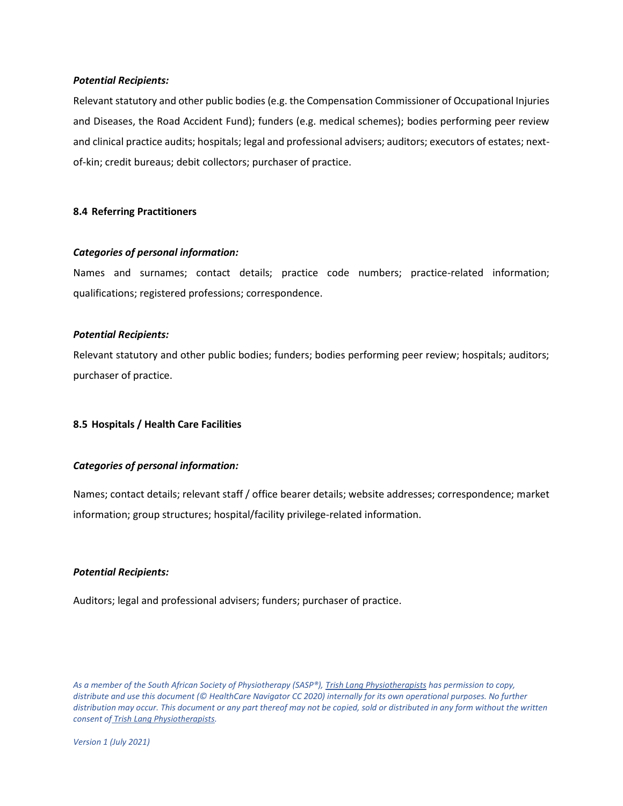#### *Potential Recipients:*

Relevant statutory and other public bodies (e.g. the Compensation Commissioner of Occupational Injuries and Diseases, the Road Accident Fund); funders (e.g. medical schemes); bodies performing peer review and clinical practice audits; hospitals; legal and professional advisers; auditors; executors of estates; nextof-kin; credit bureaus; debit collectors; purchaser of practice.

# **8.4 Referring Practitioners**

# *Categories of personal information:*

Names and surnames; contact details; practice code numbers; practice-related information; qualifications; registered professions; correspondence.

# *Potential Recipients:*

Relevant statutory and other public bodies; funders; bodies performing peer review; hospitals; auditors; purchaser of practice.

# **8.5 Hospitals / Health Care Facilities**

# *Categories of personal information:*

Names; contact details; relevant staff / office bearer details; website addresses; correspondence; market information; group structures; hospital/facility privilege-related information.

# *Potential Recipients:*

Auditors; legal and professional advisers; funders; purchaser of practice.

*As a member of the South African Society of Physiotherapy (SASP®), Trish Lang Physiotherapists has permission to copy, distribute and use this document (© HealthCare Navigator CC 2020) internally for its own operational purposes. No further distribution may occur. This document or any part thereof may not be copied, sold or distributed in any form without the written consent of Trish Lang Physiotherapists.*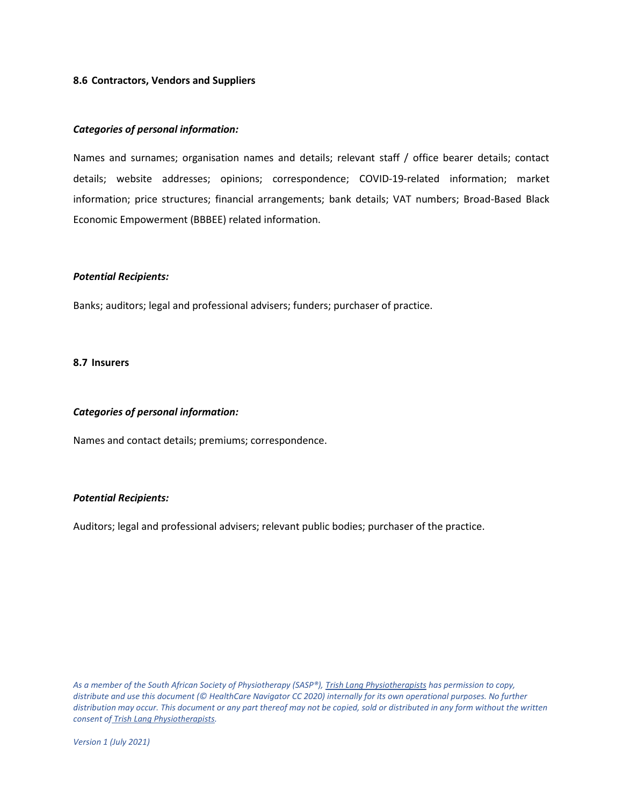#### **8.6 Contractors, Vendors and Suppliers**

### *Categories of personal information:*

Names and surnames; organisation names and details; relevant staff / office bearer details; contact details; website addresses; opinions; correspondence; COVID-19-related information; market information; price structures; financial arrangements; bank details; VAT numbers; Broad-Based Black Economic Empowerment (BBBEE) related information.

#### *Potential Recipients:*

Banks; auditors; legal and professional advisers; funders; purchaser of practice.

#### **8.7 Insurers**

#### *Categories of personal information:*

Names and contact details; premiums; correspondence.

# *Potential Recipients:*

Auditors; legal and professional advisers; relevant public bodies; purchaser of the practice.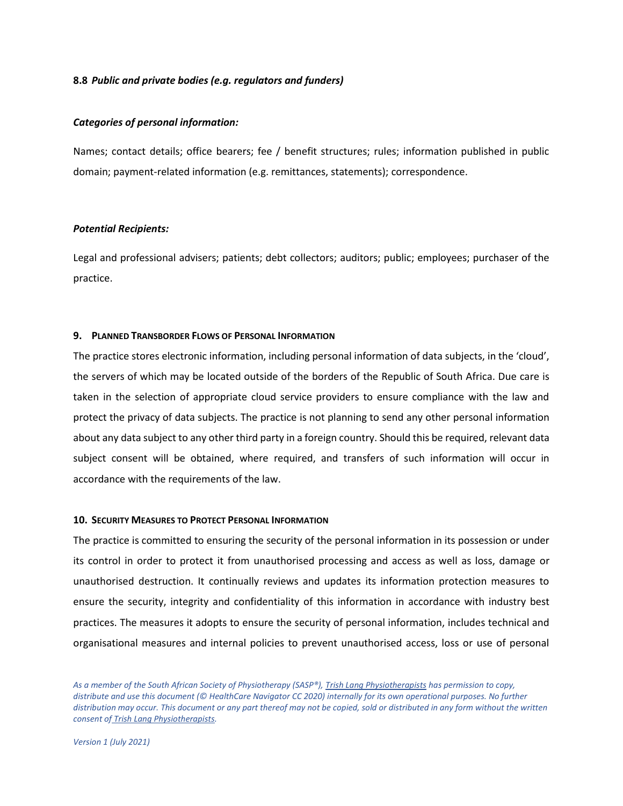#### **8.8** *Public and private bodies (e.g. regulators and funders)*

#### *Categories of personal information:*

Names; contact details; office bearers; fee / benefit structures; rules; information published in public domain; payment-related information (e.g. remittances, statements); correspondence.

# *Potential Recipients:*

Legal and professional advisers; patients; debt collectors; auditors; public; employees; purchaser of the practice.

#### <span id="page-11-0"></span>**9. PLANNED TRANSBORDER FLOWS OF PERSONAL INFORMATION**

The practice stores electronic information, including personal information of data subjects, in the 'cloud', the servers of which may be located outside of the borders of the Republic of South Africa. Due care is taken in the selection of appropriate cloud service providers to ensure compliance with the law and protect the privacy of data subjects. The practice is not planning to send any other personal information about any data subject to any other third party in a foreign country. Should this be required, relevant data subject consent will be obtained, where required, and transfers of such information will occur in accordance with the requirements of the law.

#### <span id="page-11-1"></span>**10. SECURITY MEASURES TO PROTECT PERSONAL INFORMATION**

The practice is committed to ensuring the security of the personal information in its possession or under its control in order to protect it from unauthorised processing and access as well as loss, damage or unauthorised destruction. It continually reviews and updates its information protection measures to ensure the security, integrity and confidentiality of this information in accordance with industry best practices. The measures it adopts to ensure the security of personal information, includes technical and organisational measures and internal policies to prevent unauthorised access, loss or use of personal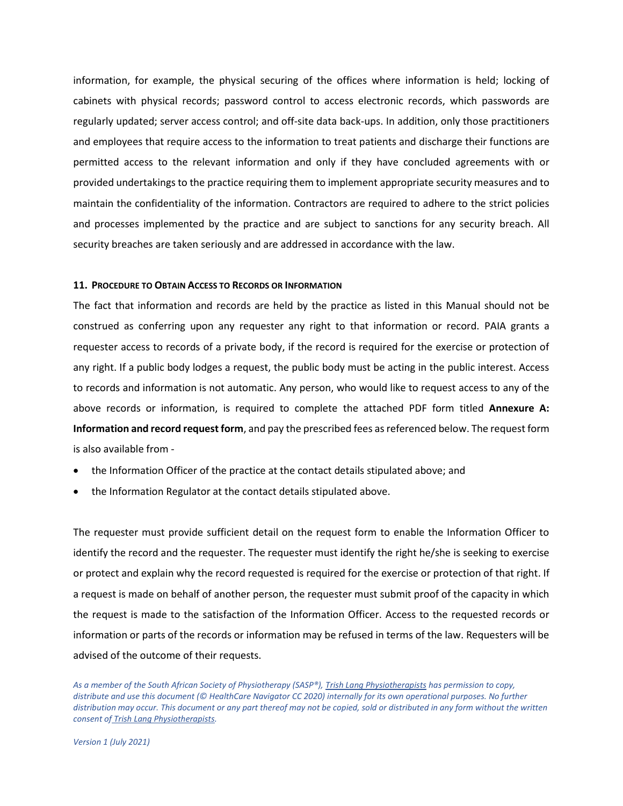information, for example, the physical securing of the offices where information is held; locking of cabinets with physical records; password control to access electronic records, which passwords are regularly updated; server access control; and off-site data back-ups. In addition, only those practitioners and employees that require access to the information to treat patients and discharge their functions are permitted access to the relevant information and only if they have concluded agreements with or provided undertakings to the practice requiring them to implement appropriate security measures and to maintain the confidentiality of the information. Contractors are required to adhere to the strict policies and processes implemented by the practice and are subject to sanctions for any security breach. All security breaches are taken seriously and are addressed in accordance with the law.

#### <span id="page-12-0"></span>**11. PROCEDURE TO OBTAIN ACCESS TO RECORDS OR INFORMATION**

The fact that information and records are held by the practice as listed in this Manual should not be construed as conferring upon any requester any right to that information or record. PAIA grants a requester access to records of a private body, if the record is required for the exercise or protection of any right. If a public body lodges a request, the public body must be acting in the public interest. Access to records and information is not automatic. Any person, who would like to request access to any of the above records or information, is required to complete the attached PDF form titled **Annexure A: Information and record request form**, and pay the prescribed fees as referenced below. The request form is also available from -

- the Information Officer of the practice at the contact details stipulated above; and
- the Information Regulator at the contact details stipulated above.

The requester must provide sufficient detail on the request form to enable the Information Officer to identify the record and the requester. The requester must identify the right he/she is seeking to exercise or protect and explain why the record requested is required for the exercise or protection of that right. If a request is made on behalf of another person, the requester must submit proof of the capacity in which the request is made to the satisfaction of the Information Officer. Access to the requested records or information or parts of the records or information may be refused in terms of the law. Requesters will be advised of the outcome of their requests.

As a member of the South African Society of Physiotherapy (SASP®), Trish Lang Physiotherapists has permission to copy, *distribute and use this document (© HealthCare Navigator CC 2020) internally for its own operational purposes. No further distribution may occur. This document or any part thereof may not be copied, sold or distributed in any form without the written consent of Trish Lang Physiotherapists.*